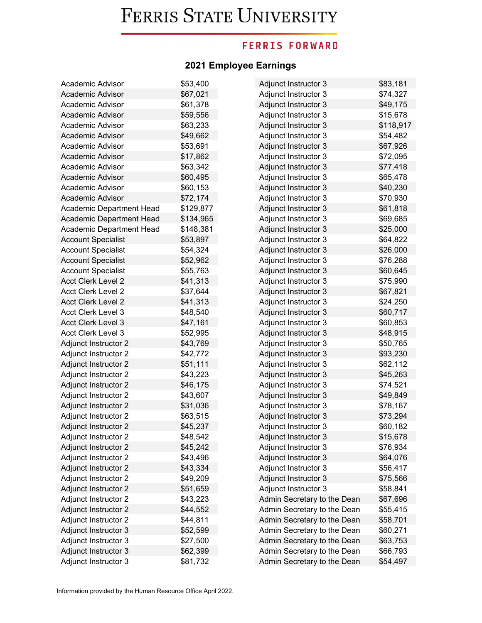### **FERRIS FORWARD**

| Academic Advisor            | \$53,400  | Adjunct Instructor 3        | \$83,181  |
|-----------------------------|-----------|-----------------------------|-----------|
| Academic Advisor            | \$67,021  | Adjunct Instructor 3        | \$74,327  |
| Academic Advisor            | \$61,378  | Adjunct Instructor 3        | \$49,175  |
| Academic Advisor            | \$59,556  | Adjunct Instructor 3        | \$15,678  |
| Academic Advisor            | \$63,233  | Adjunct Instructor 3        | \$118,917 |
| Academic Advisor            | \$49,662  | Adjunct Instructor 3        | \$54,482  |
| Academic Advisor            | \$53,691  | Adjunct Instructor 3        | \$67,926  |
| Academic Advisor            | \$17,862  | Adjunct Instructor 3        | \$72,095  |
| Academic Advisor            | \$63,342  | Adjunct Instructor 3        | \$77,418  |
| Academic Advisor            | \$60,495  | Adjunct Instructor 3        | \$65,478  |
| Academic Advisor            | \$60,153  | Adjunct Instructor 3        | \$40,230  |
| Academic Advisor            | \$72,174  | Adjunct Instructor 3        | \$70,930  |
| Academic Department Head    | \$129,877 | Adjunct Instructor 3        | \$61,818  |
| Academic Department Head    | \$134,965 | Adjunct Instructor 3        | \$69,685  |
| Academic Department Head    | \$148,381 | Adjunct Instructor 3        | \$25,000  |
| <b>Account Specialist</b>   | \$53,897  | Adjunct Instructor 3        | \$64,822  |
| <b>Account Specialist</b>   | \$54,324  | Adjunct Instructor 3        | \$26,000  |
| <b>Account Specialist</b>   | \$52,962  | Adjunct Instructor 3        | \$76,288  |
| <b>Account Specialist</b>   | \$55,763  | Adjunct Instructor 3        | \$60,645  |
| <b>Acct Clerk Level 2</b>   | \$41,313  | Adjunct Instructor 3        | \$75,990  |
| <b>Acct Clerk Level 2</b>   | \$37,644  | Adjunct Instructor 3        | \$67,821  |
| <b>Acct Clerk Level 2</b>   | \$41,313  | <b>Adjunct Instructor 3</b> | \$24,250  |
| <b>Acct Clerk Level 3</b>   | \$48,540  | Adjunct Instructor 3        | \$60,717  |
| <b>Acct Clerk Level 3</b>   | \$47,161  | Adjunct Instructor 3        | \$60,853  |
| <b>Acct Clerk Level 3</b>   | \$52,995  | Adjunct Instructor 3        | \$48,915  |
| <b>Adjunct Instructor 2</b> | \$43,769  | Adjunct Instructor 3        | \$50,765  |
| Adjunct Instructor 2        | \$42,772  | Adjunct Instructor 3        | \$93,230  |
| <b>Adjunct Instructor 2</b> | \$51,111  | Adjunct Instructor 3        | \$62,112  |
| Adjunct Instructor 2        | \$43,223  | Adjunct Instructor 3        | \$45,263  |
| Adjunct Instructor 2        | \$46,175  | Adjunct Instructor 3        | \$74,521  |
| Adjunct Instructor 2        | \$43,607  | Adjunct Instructor 3        | \$49,849  |
| <b>Adjunct Instructor 2</b> | \$31,036  | Adjunct Instructor 3        | \$78,167  |
| Adjunct Instructor 2        | \$63,515  | Adjunct Instructor 3        | \$73,294  |
| <b>Adjunct Instructor 2</b> | \$45,237  | Adjunct Instructor 3        | \$60,182  |
| Adjunct Instructor 2        | \$48,542  | Adjunct Instructor 3        | \$15,678  |
| <b>Adjunct Instructor 2</b> | \$45,242  | <b>Adjunct Instructor 3</b> | \$76,934  |
| Adjunct Instructor 2        | \$43,496  | <b>Adjunct Instructor 3</b> | \$64,076  |
| <b>Adjunct Instructor 2</b> | \$43,334  | Adjunct Instructor 3        | \$56,417  |
| Adjunct Instructor 2        | \$49,209  | Adjunct Instructor 3        | \$75,566  |
| Adjunct Instructor 2        | \$51,659  | <b>Adjunct Instructor 3</b> | \$58,841  |
| Adjunct Instructor 2        | \$43,223  | Admin Secretary to the Dean | \$67,696  |
| <b>Adjunct Instructor 2</b> | \$44,552  | Admin Secretary to the Dean | \$55,415  |
| Adjunct Instructor 2        | \$44,811  | Admin Secretary to the Dean | \$58,701  |
| Adjunct Instructor 3        | \$52,599  | Admin Secretary to the Dean | \$60,271  |
| Adjunct Instructor 3        | \$27,500  | Admin Secretary to the Dean | \$63,753  |
| Adjunct Instructor 3        | \$62,399  | Admin Secretary to the Dean | \$66,793  |
| Adjunct Instructor 3        | \$81,732  | Admin Secretary to the Dean | \$54,497  |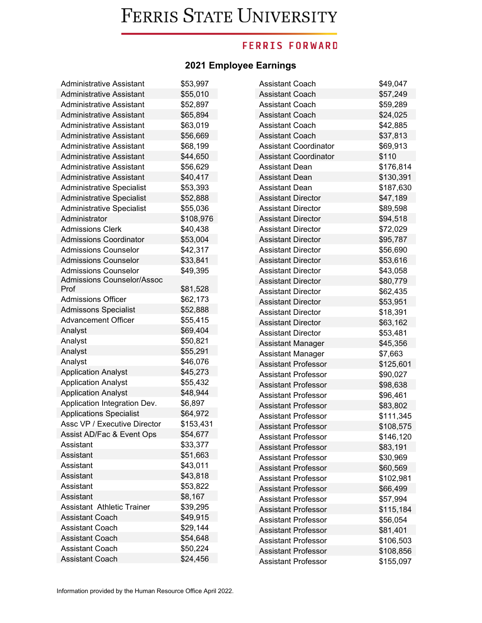### **FERRIS FORWARD**

| <b>Administrative Assistant</b>   | \$53,997  | Assistant Coach              | \$49,047  |
|-----------------------------------|-----------|------------------------------|-----------|
| <b>Administrative Assistant</b>   | \$55,010  | <b>Assistant Coach</b>       | \$57,249  |
| <b>Administrative Assistant</b>   | \$52,897  | <b>Assistant Coach</b>       | \$59,289  |
| <b>Administrative Assistant</b>   | \$65,894  | <b>Assistant Coach</b>       | \$24,025  |
| <b>Administrative Assistant</b>   | \$63,019  | <b>Assistant Coach</b>       | \$42,885  |
| <b>Administrative Assistant</b>   | \$56,669  | <b>Assistant Coach</b>       | \$37,813  |
| <b>Administrative Assistant</b>   | \$68,199  | <b>Assistant Coordinator</b> | \$69,913  |
| <b>Administrative Assistant</b>   | \$44,650  | <b>Assistant Coordinator</b> | \$110     |
| <b>Administrative Assistant</b>   | \$56,629  | <b>Assistant Dean</b>        | \$176,814 |
| <b>Administrative Assistant</b>   | \$40,417  | <b>Assistant Dean</b>        | \$130,391 |
| <b>Administrative Specialist</b>  | \$53,393  | <b>Assistant Dean</b>        | \$187,630 |
| <b>Administrative Specialist</b>  | \$52,888  | <b>Assistant Director</b>    | \$47,189  |
| <b>Administrative Specialist</b>  | \$55,036  | <b>Assistant Director</b>    | \$89,598  |
| Administrator                     | \$108,976 | <b>Assistant Director</b>    | \$94,518  |
| <b>Admissions Clerk</b>           | \$40,438  | <b>Assistant Director</b>    | \$72,029  |
| <b>Admissions Coordinator</b>     | \$53,004  | <b>Assistant Director</b>    | \$95,787  |
| <b>Admissions Counselor</b>       | \$42,317  | <b>Assistant Director</b>    | \$56,690  |
| <b>Admissions Counselor</b>       | \$33,841  | <b>Assistant Director</b>    | \$53,616  |
| <b>Admissions Counselor</b>       | \$49,395  | <b>Assistant Director</b>    | \$43,058  |
| Admissions Counselor/Assoc        |           | <b>Assistant Director</b>    | \$80,779  |
| Prof                              | \$81,528  | <b>Assistant Director</b>    | \$62,435  |
| <b>Admissions Officer</b>         | \$62,173  | <b>Assistant Director</b>    | \$53,951  |
| <b>Admissons Specialist</b>       | \$52,888  | <b>Assistant Director</b>    | \$18,391  |
| <b>Advancement Officer</b>        | \$55,415  | <b>Assistant Director</b>    | \$63,162  |
| Analyst                           | \$69,404  | <b>Assistant Director</b>    | \$53,481  |
| Analyst                           | \$50,821  | <b>Assistant Manager</b>     | \$45,356  |
| Analyst                           | \$55,291  | Assistant Manager            | \$7,663   |
| Analyst                           | \$46,076  | <b>Assistant Professor</b>   | \$125,601 |
| <b>Application Analyst</b>        | \$45,273  | <b>Assistant Professor</b>   | \$90,027  |
| <b>Application Analyst</b>        | \$55,432  | <b>Assistant Professor</b>   | \$98,638  |
| <b>Application Analyst</b>        | \$48,944  | Assistant Professor          | \$96,461  |
| Application Integration Dev.      | \$6,897   | <b>Assistant Professor</b>   | \$83,802  |
| <b>Applications Specialist</b>    | \$64,972  | <b>Assistant Professor</b>   | \$111,345 |
| Assc VP / Executive Director      | \$153,431 | <b>Assistant Professor</b>   | \$108,575 |
| Assist AD/Fac & Event Ops         | \$54,677  | <b>Assistant Professor</b>   | \$146,120 |
| Assistant                         | \$33,377  | <b>Assistant Professor</b>   | \$83,191  |
| Assistant                         | \$51,663  | Assistant Professor          | \$30,969  |
| Assistant                         | \$43,011  | <b>Assistant Professor</b>   | \$60,569  |
| Assistant                         | \$43,818  | <b>Assistant Professor</b>   | \$102,981 |
| Assistant                         | \$53,822  | <b>Assistant Professor</b>   | \$66,499  |
| Assistant                         | \$8,167   | <b>Assistant Professor</b>   | \$57,994  |
| <b>Assistant Athletic Trainer</b> | \$39,295  | <b>Assistant Professor</b>   | \$115,184 |
| <b>Assistant Coach</b>            | \$49,915  | <b>Assistant Professor</b>   | \$56,054  |
| <b>Assistant Coach</b>            | \$29,144  | <b>Assistant Professor</b>   | \$81,401  |
| <b>Assistant Coach</b>            | \$54,648  | <b>Assistant Professor</b>   | \$106,503 |
| <b>Assistant Coach</b>            | \$50,224  | <b>Assistant Professor</b>   | \$108,856 |
| Assistant Coach                   | \$24,456  | <b>Assistant Professor</b>   | \$155,097 |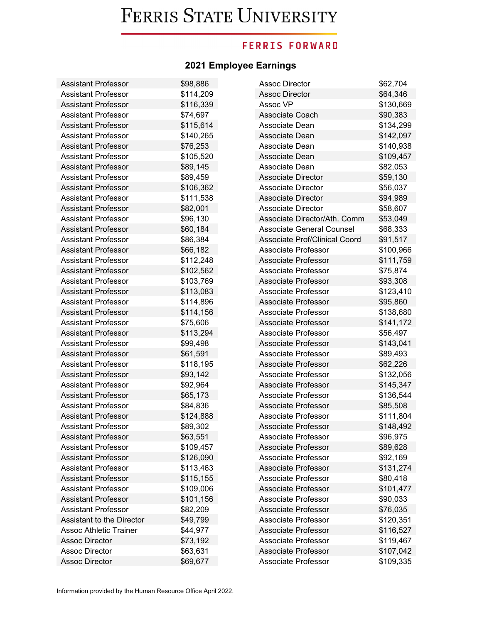## **FERRIS FORWARD**

| <b>Assistant Professor</b>    | \$98,886  | <b>Assoc Director</b>                | \$62,704  |
|-------------------------------|-----------|--------------------------------------|-----------|
| <b>Assistant Professor</b>    | \$114,209 | <b>Assoc Director</b>                | \$64,346  |
| <b>Assistant Professor</b>    | \$116,339 | Assoc VP                             | \$130,669 |
| <b>Assistant Professor</b>    | \$74,697  | Associate Coach                      | \$90,383  |
| <b>Assistant Professor</b>    | \$115,614 | Associate Dean                       | \$134,299 |
| <b>Assistant Professor</b>    | \$140,265 | Associate Dean                       | \$142,097 |
| <b>Assistant Professor</b>    | \$76,253  | Associate Dean                       | \$140,938 |
| <b>Assistant Professor</b>    | \$105,520 | Associate Dean                       | \$109,457 |
| <b>Assistant Professor</b>    | \$89,145  | Associate Dean                       | \$82,053  |
| <b>Assistant Professor</b>    | \$89,459  | <b>Associate Director</b>            | \$59,130  |
| <b>Assistant Professor</b>    | \$106,362 | <b>Associate Director</b>            | \$56,037  |
| <b>Assistant Professor</b>    | \$111,538 | <b>Associate Director</b>            | \$94,989  |
| <b>Assistant Professor</b>    | \$82,001  | <b>Associate Director</b>            | \$58,607  |
| <b>Assistant Professor</b>    | \$96,130  | Associate Director/Ath. Comm         | \$53,049  |
| <b>Assistant Professor</b>    | \$60,184  | Associate General Counsel            | \$68,333  |
| <b>Assistant Professor</b>    | \$86,384  | <b>Associate Prof/Clinical Coord</b> | \$91,517  |
| <b>Assistant Professor</b>    | \$66,182  | Associate Professor                  | \$100,966 |
| Assistant Professor           | \$112,248 | Associate Professor                  | \$111,759 |
| <b>Assistant Professor</b>    | \$102,562 | <b>Associate Professor</b>           | \$75,874  |
| <b>Assistant Professor</b>    | \$103,769 | <b>Associate Professor</b>           | \$93,308  |
| <b>Assistant Professor</b>    | \$113,083 | <b>Associate Professor</b>           | \$123,410 |
| <b>Assistant Professor</b>    | \$114,896 | Associate Professor                  | \$95,860  |
| <b>Assistant Professor</b>    | \$114,156 | Associate Professor                  | \$138,680 |
| <b>Assistant Professor</b>    | \$75,606  | Associate Professor                  | \$141,172 |
| <b>Assistant Professor</b>    | \$113,294 | Associate Professor                  | \$56,497  |
| <b>Assistant Professor</b>    | \$99,498  | <b>Associate Professor</b>           | \$143,041 |
| <b>Assistant Professor</b>    | \$61,591  | Associate Professor                  | \$89,493  |
| <b>Assistant Professor</b>    | \$118,195 | Associate Professor                  | \$62,226  |
| <b>Assistant Professor</b>    | \$93,142  | Associate Professor                  | \$132,056 |
| <b>Assistant Professor</b>    | \$92,964  | <b>Associate Professor</b>           | \$145,347 |
| <b>Assistant Professor</b>    | \$65,173  | <b>Associate Professor</b>           | \$136,544 |
| <b>Assistant Professor</b>    | \$84,836  | <b>Associate Professor</b>           | \$85,508  |
| <b>Assistant Professor</b>    | \$124,888 | Associate Professor                  | \$111,804 |
| <b>Assistant Professor</b>    | \$89,302  | Associate Professor                  | \$148,492 |
| <b>Assistant Professor</b>    | \$63,551  | Associate Professor                  | \$96,975  |
| <b>Assistant Professor</b>    | \$109,457 | <b>Associate Professor</b>           | \$89,628  |
| <b>Assistant Professor</b>    | \$126,090 | Associate Professor                  | \$92,169  |
| Assistant Professor           | \$113,463 | <b>Associate Professor</b>           | \$131,274 |
| <b>Assistant Professor</b>    | \$115,155 | Associate Professor                  | \$80,418  |
| <b>Assistant Professor</b>    | \$109,006 | Associate Professor                  | \$101,477 |
| <b>Assistant Professor</b>    | \$101,156 | Associate Professor                  | \$90,033  |
| <b>Assistant Professor</b>    | \$82,209  | <b>Associate Professor</b>           | \$76,035  |
| Assistant to the Director     | \$49,799  | <b>Associate Professor</b>           | \$120,351 |
| <b>Assoc Athletic Trainer</b> | \$44,977  | Associate Professor                  | \$116,527 |
| <b>Assoc Director</b>         | \$73,192  | Associate Professor                  | \$119,467 |
| <b>Assoc Director</b>         | \$63,631  | <b>Associate Professor</b>           | \$107,042 |
| <b>Assoc Director</b>         | \$69,677  | Associate Professor                  | \$109,335 |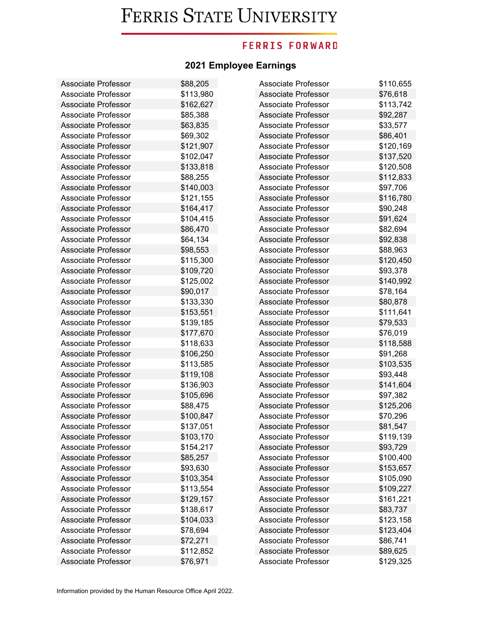### **FERRIS FORWARD**

| Associate Professor        | \$88,205  | Associate Professor        | \$110,655 |
|----------------------------|-----------|----------------------------|-----------|
| <b>Associate Professor</b> | \$113,980 | <b>Associate Professor</b> | \$76,618  |
| Associate Professor        | \$162,627 | Associate Professor        | \$113,742 |
| Associate Professor        | \$85,388  | Associate Professor        | \$92,287  |
| <b>Associate Professor</b> | \$63,835  | Associate Professor        | \$33,577  |
| <b>Associate Professor</b> | \$69,302  | <b>Associate Professor</b> | \$86,401  |
| <b>Associate Professor</b> | \$121,907 | Associate Professor        | \$120,169 |
| Associate Professor        | \$102,047 | Associate Professor        | \$137,520 |
| <b>Associate Professor</b> | \$133,818 | Associate Professor        | \$120,508 |
| <b>Associate Professor</b> | \$88,255  | <b>Associate Professor</b> | \$112,833 |
| <b>Associate Professor</b> | \$140,003 | <b>Associate Professor</b> | \$97,706  |
| Associate Professor        | \$121,155 | <b>Associate Professor</b> | \$116,780 |
| <b>Associate Professor</b> | \$164,417 | Associate Professor        | \$90,248  |
| Associate Professor        | \$104,415 | Associate Professor        | \$91,624  |
| <b>Associate Professor</b> | \$86,470  | Associate Professor        | \$82,694  |
| <b>Associate Professor</b> | \$64,134  | <b>Associate Professor</b> | \$92,838  |
| <b>Associate Professor</b> | \$98,553  | <b>Associate Professor</b> | \$88,963  |
| Associate Professor        | \$115,300 | Associate Professor        | \$120,450 |
| <b>Associate Professor</b> | \$109,720 | Associate Professor        | \$93,378  |
| <b>Associate Professor</b> | \$125,002 | <b>Associate Professor</b> | \$140,992 |
| <b>Associate Professor</b> | \$90,017  | <b>Associate Professor</b> | \$78,164  |
| <b>Associate Professor</b> | \$133,330 | <b>Associate Professor</b> | \$80,878  |
| <b>Associate Professor</b> | \$153,551 | Associate Professor        | \$111,641 |
| Associate Professor        | \$139,185 | Associate Professor        | \$79,533  |
| <b>Associate Professor</b> | \$177,670 | Associate Professor        | \$76,019  |
| <b>Associate Professor</b> | \$118,633 | <b>Associate Professor</b> | \$118,588 |
| <b>Associate Professor</b> | \$106,250 | Associate Professor        | \$91,268  |
| Associate Professor        | \$113,585 | Associate Professor        | \$103,535 |
| Associate Professor        | \$119,108 | Associate Professor        | \$93,448  |
| <b>Associate Professor</b> | \$136,903 | <b>Associate Professor</b> | \$141,604 |
| <b>Associate Professor</b> | \$105,696 | <b>Associate Professor</b> | \$97,382  |
| <b>Associate Professor</b> | \$88,475  | <b>Associate Professor</b> | \$125,206 |
| <b>Associate Professor</b> | \$100,847 | Associate Professor        | \$70,296  |
| <b>Associate Professor</b> | \$137,051 | Associate Professor        | \$81,547  |
| Associate Professor        | \$103,170 | Associate Professor        | \$119,139 |
| <b>Associate Professor</b> | \$154,217 | <b>Associate Professor</b> | \$93,729  |
| <b>Associate Professor</b> | \$85,257  | <b>Associate Professor</b> | \$100,400 |
| <b>Associate Professor</b> | \$93,630  | Associate Professor        | \$153,657 |
| <b>Associate Professor</b> | \$103,354 | <b>Associate Professor</b> | \$105,090 |
| Associate Professor        | \$113,554 | Associate Professor        | \$109,227 |
| <b>Associate Professor</b> | \$129,157 | Associate Professor        | \$161,221 |
| Associate Professor        | \$138,617 | Associate Professor        | \$83,737  |
| Associate Professor        | \$104,033 | <b>Associate Professor</b> | \$123,158 |
| Associate Professor        | \$78,694  | Associate Professor        | \$123,404 |
| <b>Associate Professor</b> | \$72,271  | Associate Professor        | \$86,741  |
| Associate Professor        | \$112,852 | Associate Professor        | \$89,625  |
| Associate Professor        | \$76,971  | Associate Professor        | \$129,325 |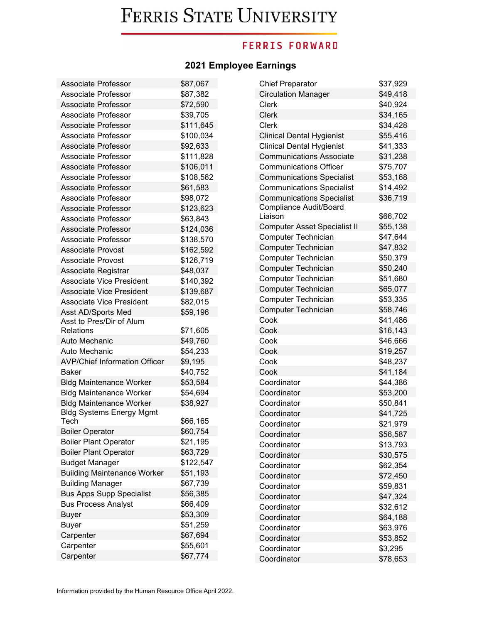## **FERRIS FORWARD**

| <b>Associate Professor</b>              | \$87,067  | <b>Chief Preparator</b>             | \$37,929 |
|-----------------------------------------|-----------|-------------------------------------|----------|
| Associate Professor                     | \$87,382  | <b>Circulation Manager</b>          | \$49,418 |
| <b>Associate Professor</b>              | \$72,590  | <b>Clerk</b>                        | \$40,924 |
| Associate Professor                     | \$39,705  | <b>Clerk</b>                        | \$34,165 |
| <b>Associate Professor</b>              | \$111,645 | <b>Clerk</b>                        | \$34,428 |
| Associate Professor                     | \$100,034 | <b>Clinical Dental Hygienist</b>    | \$55,416 |
| <b>Associate Professor</b>              | \$92,633  | <b>Clinical Dental Hygienist</b>    | \$41,333 |
| Associate Professor                     | \$111,828 | <b>Communications Associate</b>     | \$31,238 |
| <b>Associate Professor</b>              | \$106,011 | <b>Communications Officer</b>       | \$75,707 |
| <b>Associate Professor</b>              | \$108,562 | <b>Communications Specialist</b>    | \$53,168 |
| <b>Associate Professor</b>              | \$61,583  | <b>Communications Specialist</b>    | \$14,492 |
| Associate Professor                     | \$98,072  | <b>Communications Specialist</b>    | \$36,719 |
| <b>Associate Professor</b>              | \$123,623 | Compliance Audit/Board              |          |
| Associate Professor                     | \$63,843  | Liaison                             | \$66,702 |
| <b>Associate Professor</b>              | \$124,036 | <b>Computer Asset Specialist II</b> | \$55,138 |
| Associate Professor                     | \$138,570 | Computer Technician                 | \$47,644 |
| <b>Associate Provost</b>                | \$162,592 | Computer Technician                 | \$47,832 |
| <b>Associate Provost</b>                | \$126,719 | Computer Technician                 | \$50,379 |
| Associate Registrar                     | \$48,037  | Computer Technician                 | \$50,240 |
| <b>Associate Vice President</b>         | \$140,392 | Computer Technician                 | \$51,680 |
| <b>Associate Vice President</b>         | \$139,687 | Computer Technician                 | \$65,077 |
| <b>Associate Vice President</b>         | \$82,015  | <b>Computer Technician</b>          | \$53,335 |
| Asst AD/Sports Med                      | \$59,196  | Computer Technician                 | \$58,746 |
| Asst to Pres/Dir of Alum                |           | Cook                                | \$41,486 |
| Relations                               | \$71,605  | Cook                                | \$16,143 |
| Auto Mechanic                           | \$49,760  | Cook                                | \$46,666 |
| Auto Mechanic                           | \$54,233  | Cook                                | \$19,257 |
| <b>AVP/Chief Information Officer</b>    | \$9,195   | Cook                                | \$48,237 |
| Baker                                   | \$40,752  | Cook                                | \$41,184 |
| <b>Bldg Maintenance Worker</b>          | \$53,584  | Coordinator                         | \$44,386 |
| <b>Bldg Maintenance Worker</b>          | \$54,694  | Coordinator                         | \$53,200 |
| <b>Bldg Maintenance Worker</b>          | \$38,927  | Coordinator                         | \$50,841 |
| <b>Bldg Systems Energy Mgmt</b><br>Tech | \$66,165  | Coordinator                         | \$41,725 |
| <b>Boiler Operator</b>                  | \$60,754  | Coordinator                         | \$21,979 |
| <b>Boiler Plant Operator</b>            | \$21,195  | Coordinator                         | \$56,587 |
| <b>Boiler Plant Operator</b>            | \$63,729  | Coordinator                         | \$13,793 |
| <b>Budget Manager</b>                   | \$122,547 | Coordinator                         | \$30,575 |
| <b>Building Maintenance Worker</b>      | \$51,193  | Coordinator                         | \$62,354 |
| <b>Building Manager</b>                 | \$67,739  | Coordinator                         | \$72,450 |
| <b>Bus Apps Supp Specialist</b>         | \$56,385  | Coordinator                         | \$59,831 |
| <b>Bus Process Analyst</b>              | \$66,409  | Coordinator                         | \$47,324 |
| <b>Buyer</b>                            | \$53,309  | Coordinator                         | \$32,612 |
| <b>Buyer</b>                            | \$51,259  | Coordinator                         | \$64,188 |
| Carpenter                               | \$67,694  | Coordinator                         | \$63,976 |
| Carpenter                               | \$55,601  | Coordinator                         | \$53,852 |
| Carpenter                               | \$67,774  | Coordinator                         | \$3,295  |
|                                         |           | Coordinator                         | \$78,653 |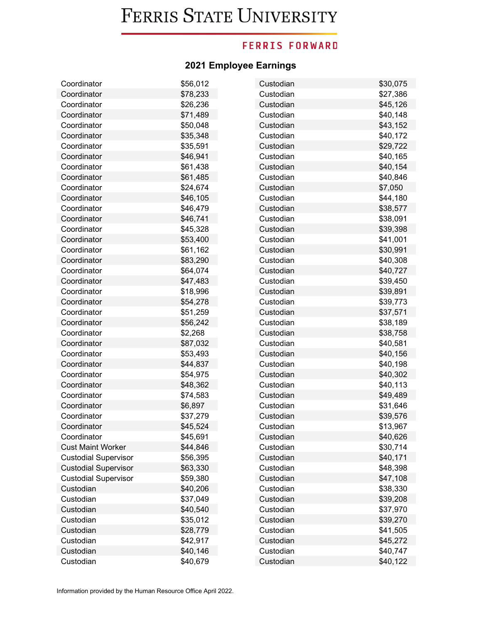## **FERRIS FORWARD**

| Coordinator                 | \$56,012 | Custodian | \$30,075 |
|-----------------------------|----------|-----------|----------|
| Coordinator                 | \$78,233 | Custodian | \$27,386 |
| Coordinator                 | \$26,236 | Custodian | \$45,126 |
| Coordinator                 | \$71,489 | Custodian | \$40,148 |
| Coordinator                 | \$50,048 | Custodian | \$43,152 |
| Coordinator                 | \$35,348 | Custodian | \$40,172 |
| Coordinator                 | \$35,591 | Custodian | \$29,722 |
| Coordinator                 | \$46,941 | Custodian | \$40,165 |
| Coordinator                 | \$61,438 | Custodian | \$40,154 |
| Coordinator                 | \$61,485 | Custodian | \$40,846 |
| Coordinator                 | \$24,674 | Custodian | \$7,050  |
| Coordinator                 | \$46,105 | Custodian | \$44,180 |
| Coordinator                 | \$46,479 | Custodian | \$38,577 |
| Coordinator                 | \$46,741 | Custodian | \$38,091 |
| Coordinator                 | \$45,328 | Custodian | \$39,398 |
| Coordinator                 | \$53,400 | Custodian | \$41,001 |
| Coordinator                 | \$61,162 | Custodian | \$30,991 |
| Coordinator                 | \$83,290 | Custodian | \$40,308 |
| Coordinator                 | \$64,074 | Custodian | \$40,727 |
| Coordinator                 | \$47,483 | Custodian | \$39,450 |
| Coordinator                 | \$18,996 | Custodian | \$39,891 |
| Coordinator                 | \$54,278 | Custodian | \$39,773 |
| Coordinator                 | \$51,259 | Custodian | \$37,571 |
| Coordinator                 | \$56,242 | Custodian | \$38,189 |
| Coordinator                 | \$2,268  | Custodian | \$38,758 |
| Coordinator                 | \$87,032 | Custodian | \$40,581 |
| Coordinator                 | \$53,493 | Custodian | \$40,156 |
| Coordinator                 | \$44,837 | Custodian | \$40,198 |
| Coordinator                 | \$54,975 | Custodian | \$40,302 |
| Coordinator                 | \$48,362 | Custodian | \$40,113 |
| Coordinator                 | \$74,583 | Custodian | \$49,489 |
| Coordinator                 | \$6,897  | Custodian | \$31,646 |
| Coordinator                 | \$37,279 | Custodian | \$39,576 |
| Coordinator                 | \$45,524 | Custodian | \$13,967 |
| Coordinator                 | \$45,691 | Custodian | \$40,626 |
| <b>Cust Maint Worker</b>    | \$44,846 | Custodian | \$30,714 |
| <b>Custodial Supervisor</b> | \$56,395 | Custodian | \$40,171 |
| <b>Custodial Supervisor</b> | \$63,330 | Custodian | \$48,398 |
| <b>Custodial Supervisor</b> | \$59,380 | Custodian | \$47,108 |
| Custodian                   | \$40,206 | Custodian | \$38,330 |
| Custodian                   | \$37,049 | Custodian | \$39,208 |
| Custodian                   | \$40,540 | Custodian | \$37,970 |
| Custodian                   | \$35,012 | Custodian | \$39,270 |
| Custodian                   | \$28,779 | Custodian | \$41,505 |
| Custodian                   | \$42,917 | Custodian | \$45,272 |
| Custodian                   | \$40,146 | Custodian | \$40,747 |
| Custodian                   | \$40,679 | Custodian | \$40,122 |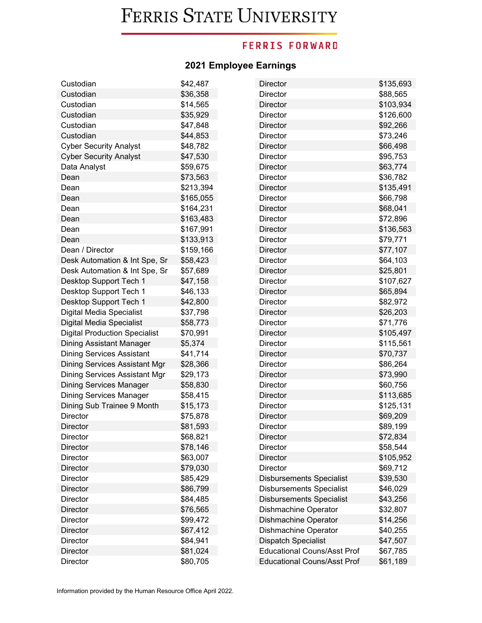## **FERRIS FORWARD**

| Custodian                            | \$42,487  | Director                           | \$135,693 |
|--------------------------------------|-----------|------------------------------------|-----------|
| Custodian                            | \$36,358  | Director                           | \$88,565  |
| Custodian                            | \$14,565  | Director                           | \$103,934 |
| Custodian                            | \$35,929  | Director                           | \$126,600 |
| Custodian                            | \$47,848  | Director                           | \$92,266  |
| Custodian                            | \$44,853  | Director                           | \$73,246  |
| <b>Cyber Security Analyst</b>        | \$48,782  | Director                           | \$66,498  |
| <b>Cyber Security Analyst</b>        | \$47,530  | Director                           | \$95,753  |
| Data Analyst                         | \$59,675  | <b>Director</b>                    | \$63,774  |
| Dean                                 | \$73,563  | Director                           | \$36,782  |
| Dean                                 | \$213,394 | Director                           | \$135,491 |
| Dean                                 | \$165,055 | Director                           | \$66,798  |
| Dean                                 | \$164,231 | Director                           | \$68,041  |
| Dean                                 | \$163,483 | Director                           | \$72,896  |
| Dean                                 | \$167,991 | Director                           | \$136,563 |
| Dean                                 | \$133,913 | Director                           | \$79,771  |
| Dean / Director                      | \$159,166 | <b>Director</b>                    | \$77,107  |
| Desk Automation & Int Spe, Sr        | \$58,423  | <b>Director</b>                    | \$64,103  |
| Desk Automation & Int Spe, Sr        | \$57,689  | <b>Director</b>                    | \$25,801  |
| Desktop Support Tech 1               | \$47,158  | Director                           | \$107,627 |
| Desktop Support Tech 1               | \$46,133  | Director                           | \$65,894  |
| Desktop Support Tech 1               | \$42,800  | <b>Director</b>                    | \$82,972  |
| Digital Media Specialist             | \$37,798  | Director                           | \$26,203  |
| Digital Media Specialist             | \$58,773  | Director                           | \$71,776  |
| <b>Digital Production Specialist</b> | \$70,991  | Director                           | \$105,497 |
| Dining Assistant Manager             | \$5,374   | Director                           | \$115,561 |
| <b>Dining Services Assistant</b>     | \$41,714  | Director                           | \$70,737  |
| Dining Services Assistant Mgr        | \$28,366  | Director                           | \$86,264  |
| Dining Services Assistant Mgr        | \$29,173  | <b>Director</b>                    | \$73,990  |
| <b>Dining Services Manager</b>       | \$58,830  | Director                           | \$60,756  |
| <b>Dining Services Manager</b>       | \$58,415  | Director                           | \$113,685 |
| Dining Sub Trainee 9 Month           | \$15,173  | Director                           | \$125,131 |
| Director                             | \$75,878  | Director                           | \$69,209  |
| <b>Director</b>                      | \$81,593  | Director                           | \$89,199  |
| Director                             | \$68,821  | Director                           | \$72,834  |
| <b>Director</b>                      | \$78,146  | Director                           | \$58,544  |
| <b>Director</b>                      | \$63,007  | <b>Director</b>                    | \$105,952 |
| <b>Director</b>                      | \$79,030  | <b>Director</b>                    | \$69,712  |
| Director                             | \$85,429  | <b>Disbursements Specialist</b>    | \$39,530  |
| <b>Director</b>                      | \$86,799  | <b>Disbursements Specialist</b>    | \$46,029  |
| Director                             | \$84,485  | <b>Disbursements Specialist</b>    | \$43,256  |
| <b>Director</b>                      | \$76,565  | Dishmachine Operator               | \$32,807  |
| <b>Director</b>                      | \$99,472  | Dishmachine Operator               | \$14,256  |
| <b>Director</b>                      | \$67,412  | Dishmachine Operator               | \$40,255  |
| Director                             | \$84,941  | <b>Dispatch Specialist</b>         | \$47,507  |
| <b>Director</b>                      | \$81,024  | <b>Educational Couns/Asst Prof</b> | \$67,785  |
| Director                             | \$80,705  | <b>Educational Couns/Asst Prof</b> | \$61,189  |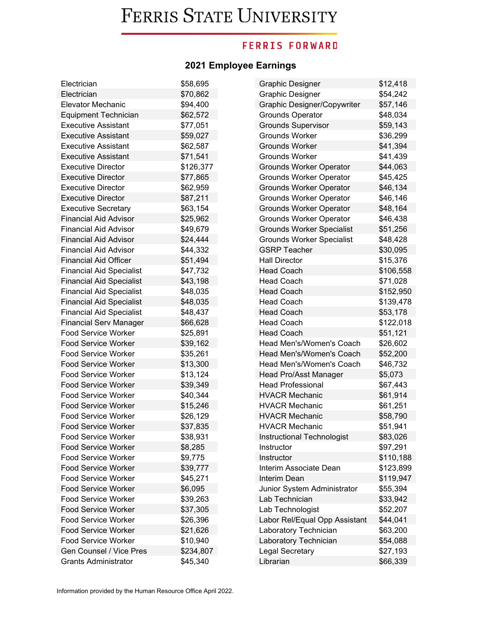### **FERRIS FORWARD**

| Electrician                     | \$58,695  | <b>Graphic Designer</b>          | \$12,418  |
|---------------------------------|-----------|----------------------------------|-----------|
| Electrician                     | \$70,862  | <b>Graphic Designer</b>          | \$54,242  |
| <b>Elevator Mechanic</b>        | \$94,400  | Graphic Designer/Copywriter      | \$57,146  |
| <b>Equipment Technician</b>     | \$62,572  | <b>Grounds Operator</b>          | \$48,034  |
| <b>Executive Assistant</b>      | \$77,051  | <b>Grounds Supervisor</b>        | \$59,143  |
| <b>Executive Assistant</b>      | \$59,027  | <b>Grounds Worker</b>            | \$36,299  |
| <b>Executive Assistant</b>      | \$62,587  | <b>Grounds Worker</b>            | \$41,394  |
| <b>Executive Assistant</b>      | \$71,541  | <b>Grounds Worker</b>            | \$41,439  |
| <b>Executive Director</b>       | \$126,377 | <b>Grounds Worker Operator</b>   | \$44,063  |
| <b>Executive Director</b>       | \$77,865  | <b>Grounds Worker Operator</b>   | \$45,425  |
| <b>Executive Director</b>       | \$62,959  | <b>Grounds Worker Operator</b>   | \$46,134  |
| <b>Executive Director</b>       | \$87,211  | <b>Grounds Worker Operator</b>   | \$46,146  |
| <b>Executive Secretary</b>      | \$63,154  | <b>Grounds Worker Operator</b>   | \$48,164  |
| <b>Financial Aid Advisor</b>    | \$25,962  | <b>Grounds Worker Operator</b>   | \$46,438  |
| <b>Financial Aid Advisor</b>    | \$49,679  | <b>Grounds Worker Specialist</b> | \$51,256  |
| <b>Financial Aid Advisor</b>    | \$24,444  | <b>Grounds Worker Specialist</b> | \$48,428  |
| <b>Financial Aid Advisor</b>    | \$44,332  | <b>GSRP Teacher</b>              | \$30,095  |
| <b>Financial Aid Officer</b>    | \$51,494  | <b>Hall Director</b>             | \$15,376  |
| <b>Financial Aid Specialist</b> | \$47,732  | <b>Head Coach</b>                | \$106,558 |
| <b>Financial Aid Specialist</b> | \$43,198  | <b>Head Coach</b>                | \$71,028  |
| <b>Financial Aid Specialist</b> | \$48,035  | <b>Head Coach</b>                | \$152,950 |
| <b>Financial Aid Specialist</b> | \$48,035  | <b>Head Coach</b>                | \$139,478 |
| <b>Financial Aid Specialist</b> | \$48,437  | <b>Head Coach</b>                | \$53,178  |
| <b>Financial Serv Manager</b>   | \$66,628  | <b>Head Coach</b>                | \$122,018 |
| <b>Food Service Worker</b>      | \$25,891  | <b>Head Coach</b>                | \$51,121  |
| <b>Food Service Worker</b>      | \$39,162  | Head Men's/Women's Coach         | \$26,602  |
| <b>Food Service Worker</b>      | \$35,261  | Head Men's/Women's Coach         | \$52,200  |
| <b>Food Service Worker</b>      | \$13,300  | Head Men's/Women's Coach         | \$46,732  |
| <b>Food Service Worker</b>      | \$13,124  | Head Pro/Asst Manager            | \$5,073   |
| <b>Food Service Worker</b>      | \$39,349  | <b>Head Professional</b>         | \$67,443  |
| <b>Food Service Worker</b>      | \$40,344  | <b>HVACR Mechanic</b>            | \$61,914  |
| <b>Food Service Worker</b>      | \$15,246  | <b>HVACR Mechanic</b>            | \$61,251  |
| <b>Food Service Worker</b>      | \$26,129  | <b>HVACR Mechanic</b>            | \$58,790  |
| <b>Food Service Worker</b>      | \$37,835  | <b>HVACR Mechanic</b>            | \$51,941  |
| <b>Food Service Worker</b>      | \$38,931  | Instructional Technologist       | \$83,026  |
| <b>Food Service Worker</b>      | \$8,285   | Instructor                       | \$97,291  |
| <b>Food Service Worker</b>      | \$9,775   | Instructor                       | \$110,188 |
| <b>Food Service Worker</b>      | \$39,777  | Interim Associate Dean           | \$123,899 |
| <b>Food Service Worker</b>      | \$45,271  | Interim Dean                     | \$119,947 |
| <b>Food Service Worker</b>      | \$6,095   | Junior System Administrator      | \$55,394  |
| <b>Food Service Worker</b>      | \$39,263  | Lab Technician                   | \$33,942  |
| <b>Food Service Worker</b>      | \$37,305  | Lab Technologist                 | \$52,207  |
| <b>Food Service Worker</b>      | \$26,396  | Labor Rel/Equal Opp Assistant    | \$44,041  |
| <b>Food Service Worker</b>      | \$21,626  | Laboratory Technician            | \$63,200  |
| <b>Food Service Worker</b>      | \$10,940  | Laboratory Technician            | \$54,088  |
| Gen Counsel / Vice Pres         | \$234,807 | <b>Legal Secretary</b>           | \$27,193  |
| <b>Grants Administrator</b>     | \$45,340  | Librarian                        | \$66,339  |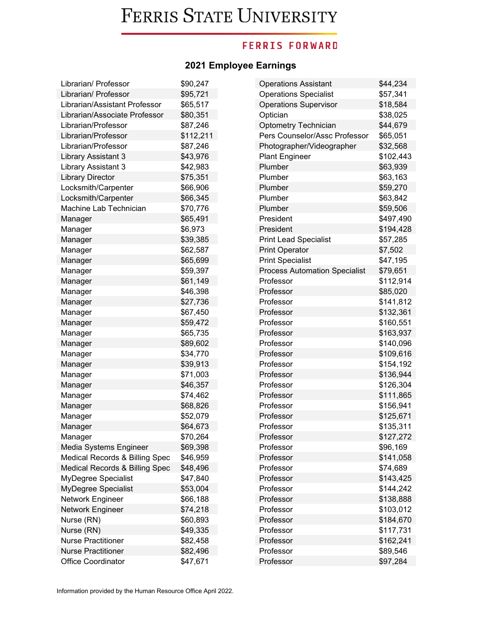## **FERRIS FORWARD**

| Librarian/ Professor           | \$90,247  | <b>Operations Assistant</b>          | \$44,234  |
|--------------------------------|-----------|--------------------------------------|-----------|
| Librarian/ Professor           | \$95,721  | <b>Operations Specialist</b>         | \$57,341  |
| Librarian/Assistant Professor  | \$65,517  | <b>Operations Supervisor</b>         | \$18,584  |
| Librarian/Associate Professor  | \$80,351  | Optician                             | \$38,025  |
| Librarian/Professor            | \$87,246  | <b>Optometry Technician</b>          | \$44,679  |
| Librarian/Professor            | \$112,211 | Pers Counselor/Assc Professor        | \$65,051  |
| Librarian/Professor            | \$87,246  | Photographer/Videographer            | \$32,568  |
| Library Assistant 3            | \$43,976  | <b>Plant Engineer</b>                | \$102,443 |
| Library Assistant 3            | \$42,983  | Plumber                              | \$63,939  |
| <b>Library Director</b>        | \$75,351  | Plumber                              | \$63,163  |
| Locksmith/Carpenter            | \$66,906  | Plumber                              | \$59,270  |
| Locksmith/Carpenter            | \$66,345  | Plumber                              | \$63,842  |
| Machine Lab Technician         | \$70,776  | Plumber                              | \$59,506  |
| Manager                        | \$65,491  | President                            | \$497,490 |
| Manager                        | \$6,973   | President                            | \$194,428 |
| Manager                        | \$39,385  | <b>Print Lead Specialist</b>         | \$57,285  |
| Manager                        | \$62,587  | <b>Print Operator</b>                | \$7,502   |
| Manager                        | \$65,699  | <b>Print Specialist</b>              | \$47,195  |
| Manager                        | \$59,397  | <b>Process Automation Specialist</b> | \$79,651  |
| Manager                        | \$61,149  | Professor                            | \$112,914 |
| Manager                        | \$46,398  | Professor                            | \$85,020  |
| Manager                        | \$27,736  | Professor                            | \$141,812 |
| Manager                        | \$67,450  | Professor                            | \$132,361 |
| Manager                        | \$59,472  | Professor                            | \$160,551 |
| Manager                        | \$65,735  | Professor                            | \$163,937 |
| Manager                        | \$89,602  | Professor                            | \$140,096 |
| Manager                        | \$34,770  | Professor                            | \$109,616 |
| Manager                        | \$39,913  | Professor                            | \$154,192 |
| Manager                        | \$71,003  | Professor                            | \$136,944 |
| Manager                        | \$46,357  | Professor                            | \$126,304 |
| Manager                        | \$74,462  | Professor                            | \$111,865 |
| Manager                        | \$68,826  | Professor                            | \$156,941 |
| Manager                        | \$52,079  | Professor                            | \$125,671 |
| Manager                        | \$64,673  | Professor                            | \$135,311 |
| Manager                        | \$70,264  | Professor                            | \$127,272 |
| Media Systems Engineer         | \$69,398  | Professor                            | \$96,169  |
| Medical Records & Billing Spec | \$46,959  | Professor                            | \$141,058 |
| Medical Records & Billing Spec | \$48,496  | Professor                            | \$74,689  |
| MyDegree Specialist            | \$47,840  | Professor                            | \$143,425 |
| MyDegree Specialist            | \$53,004  | Professor                            | \$144,242 |
| Network Engineer               | \$66,188  | Professor                            | \$138,888 |
| Network Engineer               | \$74,218  | Professor                            | \$103,012 |
| Nurse (RN)                     | \$60,893  | Professor                            | \$184,670 |
| Nurse (RN)                     | \$49,335  | Professor                            | \$117,731 |
| <b>Nurse Practitioner</b>      | \$82,458  | Professor                            | \$162,241 |
| <b>Nurse Practitioner</b>      | \$82,496  | Professor                            | \$89,546  |
| Office Coordinator             | \$47,671  | Professor                            | \$97,284  |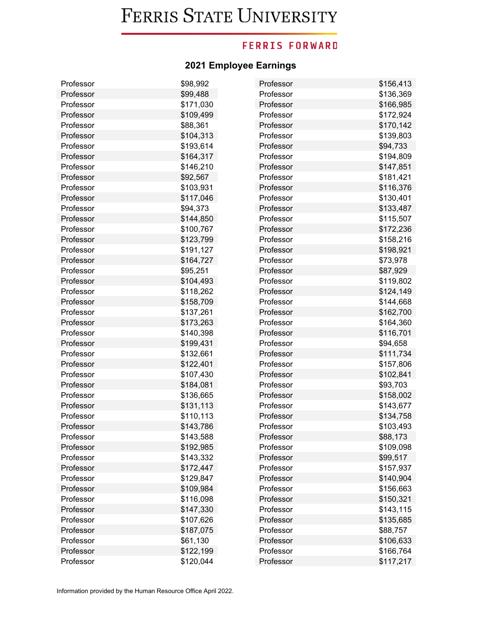## **FERRIS FORWARD**

| Professor | \$98,992  | Professor | \$156,413 |
|-----------|-----------|-----------|-----------|
| Professor | \$99,488  | Professor | \$136,369 |
| Professor | \$171,030 | Professor | \$166,985 |
| Professor | \$109,499 | Professor | \$172,924 |
| Professor | \$88,361  | Professor | \$170,142 |
| Professor | \$104,313 | Professor | \$139,803 |
| Professor | \$193,614 | Professor | \$94,733  |
| Professor | \$164,317 | Professor | \$194,809 |
| Professor | \$146,210 | Professor | \$147,851 |
| Professor | \$92,567  | Professor | \$181,421 |
| Professor | \$103,931 | Professor | \$116,376 |
| Professor | \$117,046 | Professor | \$130,401 |
| Professor | \$94,373  | Professor | \$133,487 |
| Professor | \$144,850 | Professor | \$115,507 |
| Professor | \$100,767 | Professor | \$172,236 |
| Professor | \$123,799 | Professor | \$158,216 |
| Professor | \$191,127 | Professor | \$198,921 |
| Professor | \$164,727 | Professor | \$73,978  |
| Professor | \$95,251  | Professor | \$87,929  |
| Professor | \$104,493 | Professor | \$119,802 |
| Professor | \$118,262 | Professor | \$124,149 |
| Professor | \$158,709 | Professor | \$144,668 |
| Professor | \$137,261 | Professor | \$162,700 |
| Professor | \$173,263 | Professor | \$164,360 |
| Professor | \$140,398 | Professor | \$116,701 |
| Professor | \$199,431 | Professor | \$94,658  |
| Professor | \$132,661 | Professor | \$111,734 |
| Professor | \$122,401 | Professor | \$157,806 |
| Professor | \$107,430 | Professor | \$102,841 |
| Professor | \$184,081 | Professor | \$93,703  |
| Professor | \$136,665 | Professor | \$158,002 |
| Professor | \$131,113 | Professor | \$143,677 |
| Professor | \$110,113 | Professor | \$134,758 |
| Professor | \$143,786 | Professor | \$103,493 |
| Professor | \$143,588 | Professor | \$88,173  |
| Professor | \$192,985 | Professor | \$109,098 |
| Professor | \$143,332 | Professor | \$99,517  |
| Professor | \$172,447 | Professor | \$157,937 |
| Professor | \$129,847 | Professor | \$140,904 |
| Professor | \$109,984 | Professor | \$156,663 |
| Professor | \$116,098 | Professor | \$150,321 |
| Professor | \$147,330 | Professor | \$143,115 |
| Professor | \$107,626 | Professor | \$135,685 |
| Professor | \$187,075 | Professor | \$88,757  |
| Professor | \$61,130  | Professor | \$106,633 |
| Professor | \$122,199 | Professor | \$166,764 |
| Professor | \$120,044 | Professor | \$117,217 |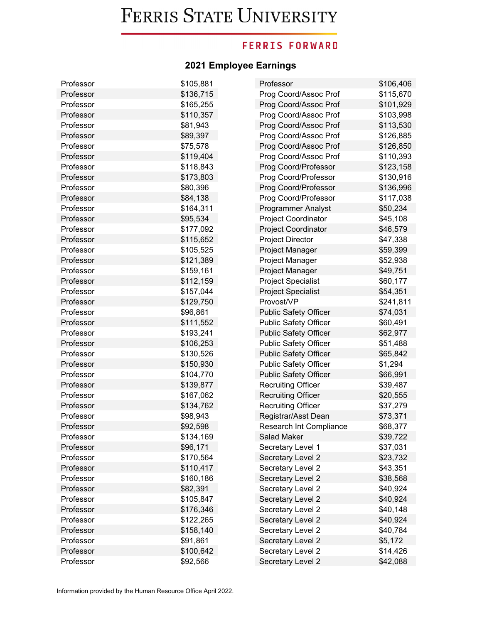## **FERRIS FORWARD**

| Professor | \$105,881 | Professor                    | \$106,406 |
|-----------|-----------|------------------------------|-----------|
| Professor | \$136,715 | Prog Coord/Assoc Prof        | \$115,670 |
| Professor | \$165,255 | Prog Coord/Assoc Prof        | \$101,929 |
| Professor | \$110,357 | Prog Coord/Assoc Prof        | \$103,998 |
| Professor | \$81,943  | Prog Coord/Assoc Prof        | \$113,530 |
| Professor | \$89,397  | Prog Coord/Assoc Prof        | \$126,885 |
| Professor | \$75,578  | Prog Coord/Assoc Prof        | \$126,850 |
| Professor | \$119,404 | Prog Coord/Assoc Prof        | \$110,393 |
| Professor | \$118,843 | Prog Coord/Professor         | \$123,158 |
| Professor | \$173,803 | Prog Coord/Professor         | \$130,916 |
| Professor | \$80,396  | Prog Coord/Professor         | \$136,996 |
| Professor | \$84,138  | Prog Coord/Professor         | \$117,038 |
| Professor | \$164,311 | Programmer Analyst           | \$50,234  |
| Professor | \$95,534  | Project Coordinator          | \$45,108  |
| Professor | \$177,092 | <b>Project Coordinator</b>   | \$46,579  |
| Professor | \$115,652 | <b>Project Director</b>      | \$47,338  |
| Professor | \$105,525 | Project Manager              | \$59,399  |
| Professor | \$121,389 | Project Manager              | \$52,938  |
| Professor | \$159,161 | Project Manager              | \$49,751  |
| Professor | \$112,159 | <b>Project Specialist</b>    | \$60,177  |
| Professor | \$157,044 | <b>Project Specialist</b>    | \$54,351  |
| Professor | \$129,750 | Provost/VP                   | \$241,811 |
| Professor | \$96,861  | <b>Public Safety Officer</b> | \$74,031  |
| Professor | \$111,552 | <b>Public Safety Officer</b> | \$60,491  |
| Professor | \$193,241 | <b>Public Safety Officer</b> | \$62,977  |
| Professor | \$106,253 | Public Safety Officer        | \$51,488  |
| Professor | \$130,526 | <b>Public Safety Officer</b> | \$65,842  |
| Professor | \$150,930 | Public Safety Officer        | \$1,294   |
| Professor | \$104,770 | <b>Public Safety Officer</b> | \$66,991  |
| Professor | \$139,877 | <b>Recruiting Officer</b>    | \$39,487  |
| Professor | \$167,062 | <b>Recruiting Officer</b>    | \$20,555  |
| Professor | \$134,762 | <b>Recruiting Officer</b>    | \$37,279  |
| Professor | \$98,943  | Registrar/Asst Dean          | \$73,371  |
| Professor | \$92,598  | Research Int Compliance      | \$68,377  |
| Professor | \$134,169 | Salad Maker                  | \$39,722  |
| Professor | \$96,171  | Secretary Level 1            | \$37,031  |
| Professor | \$170,564 | Secretary Level 2            | \$23,732  |
| Professor | \$110,417 | Secretary Level 2            | \$43,351  |
| Professor | \$160,186 | Secretary Level 2            | \$38,568  |
| Professor | \$82,391  | Secretary Level 2            | \$40,924  |
| Professor | \$105,847 | Secretary Level 2            | \$40,924  |
| Professor | \$176,346 | Secretary Level 2            | \$40,148  |
| Professor | \$122,265 | Secretary Level 2            | \$40,924  |
| Professor | \$158,140 | Secretary Level 2            | \$40,784  |
| Professor | \$91,861  | Secretary Level 2            | \$5,172   |
| Professor | \$100,642 | Secretary Level 2            | \$14,426  |
| Professor | \$92,566  | Secretary Level 2            | \$42,088  |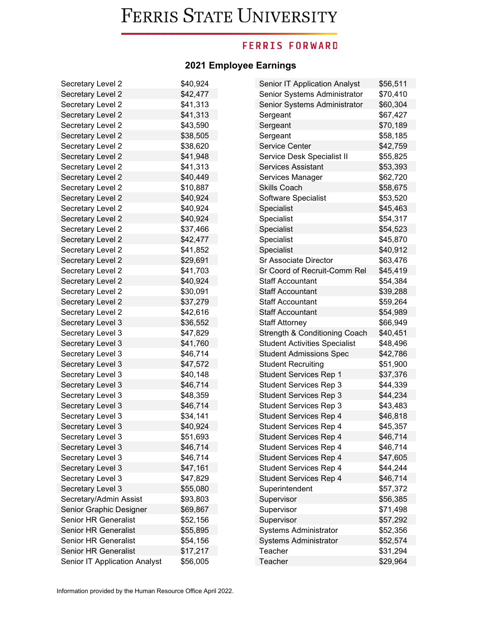## **FERRIS FORWARD**

| Secretary Level 2             | \$40,924 | Senior IT Application Analyst        | \$56,511 |
|-------------------------------|----------|--------------------------------------|----------|
| Secretary Level 2             | \$42,477 | Senior Systems Administrator         | \$70,410 |
| Secretary Level 2             | \$41,313 | Senior Systems Administrator         | \$60,304 |
| Secretary Level 2             | \$41,313 | Sergeant                             | \$67,427 |
| Secretary Level 2             | \$43,590 | Sergeant                             | \$70,189 |
| Secretary Level 2             | \$38,505 | Sergeant                             | \$58,185 |
| Secretary Level 2             | \$38,620 | <b>Service Center</b>                | \$42,759 |
| Secretary Level 2             | \$41,948 | Service Desk Specialist II           | \$55,825 |
| Secretary Level 2             | \$41,313 | <b>Services Assistant</b>            | \$53,393 |
| Secretary Level 2             | \$40,449 | Services Manager                     | \$62,720 |
| Secretary Level 2             | \$10,887 | <b>Skills Coach</b>                  | \$58,675 |
| Secretary Level 2             | \$40,924 | Software Specialist                  | \$53,520 |
| Secretary Level 2             | \$40,924 | Specialist                           | \$45,463 |
| Secretary Level 2             | \$40,924 | Specialist                           | \$54,317 |
| Secretary Level 2             | \$37,466 | Specialist                           | \$54,523 |
| Secretary Level 2             | \$42,477 | Specialist                           | \$45,870 |
| Secretary Level 2             | \$41,852 | Specialist                           | \$40,912 |
| Secretary Level 2             | \$29,691 | Sr Associate Director                | \$63,476 |
| Secretary Level 2             | \$41,703 | Sr Coord of Recruit-Comm Rel         | \$45,419 |
| Secretary Level 2             | \$40,924 | <b>Staff Accountant</b>              | \$54,384 |
| Secretary Level 2             | \$30,091 | <b>Staff Accountant</b>              | \$39,288 |
| Secretary Level 2             | \$37,279 | <b>Staff Accountant</b>              | \$59,264 |
| Secretary Level 2             | \$42,616 | <b>Staff Accountant</b>              | \$54,989 |
| Secretary Level 3             | \$36,552 | <b>Staff Attorney</b>                | \$66,949 |
| Secretary Level 3             | \$47,829 | Strength & Conditioning Coach        | \$40,451 |
| Secretary Level 3             | \$41,760 | <b>Student Activities Specialist</b> | \$48,496 |
| Secretary Level 3             | \$46,714 | <b>Student Admissions Spec</b>       | \$42,786 |
| Secretary Level 3             | \$47,572 | <b>Student Recruiting</b>            | \$51,900 |
| Secretary Level 3             | \$40,148 | <b>Student Services Rep 1</b>        | \$37,376 |
| Secretary Level 3             | \$46,714 | <b>Student Services Rep 3</b>        | \$44,339 |
| Secretary Level 3             | \$48,359 | <b>Student Services Rep 3</b>        | \$44,234 |
| Secretary Level 3             | \$46,714 | <b>Student Services Rep 3</b>        | \$43,483 |
| Secretary Level 3             | \$34,141 | <b>Student Services Rep 4</b>        | \$46,818 |
| Secretary Level 3             | \$40,924 | Student Services Rep 4               | \$45,357 |
| Secretary Level 3             | \$51,693 | <b>Student Services Rep 4</b>        | \$46,714 |
| Secretary Level 3             | \$46,714 | <b>Student Services Rep 4</b>        | \$46,714 |
| Secretary Level 3             | \$46,714 | <b>Student Services Rep 4</b>        | \$47,605 |
| Secretary Level 3             | \$47,161 | <b>Student Services Rep 4</b>        | \$44,244 |
| Secretary Level 3             | \$47,829 | <b>Student Services Rep 4</b>        | \$46,714 |
| Secretary Level 3             | \$55,080 | Superintendent                       | \$57,372 |
| Secretary/Admin Assist        | \$93,803 | Supervisor                           | \$56,385 |
| Senior Graphic Designer       | \$69,867 | Supervisor                           | \$71,498 |
| <b>Senior HR Generalist</b>   | \$52,156 | Supervisor                           | \$57,292 |
| <b>Senior HR Generalist</b>   | \$55,895 | Systems Administrator                | \$52,356 |
| Senior HR Generalist          | \$54,156 | <b>Systems Administrator</b>         | \$52,574 |
| <b>Senior HR Generalist</b>   | \$17,217 | Teacher                              | \$31,294 |
| Senior IT Application Analyst | \$56,005 | Teacher                              | \$29,964 |